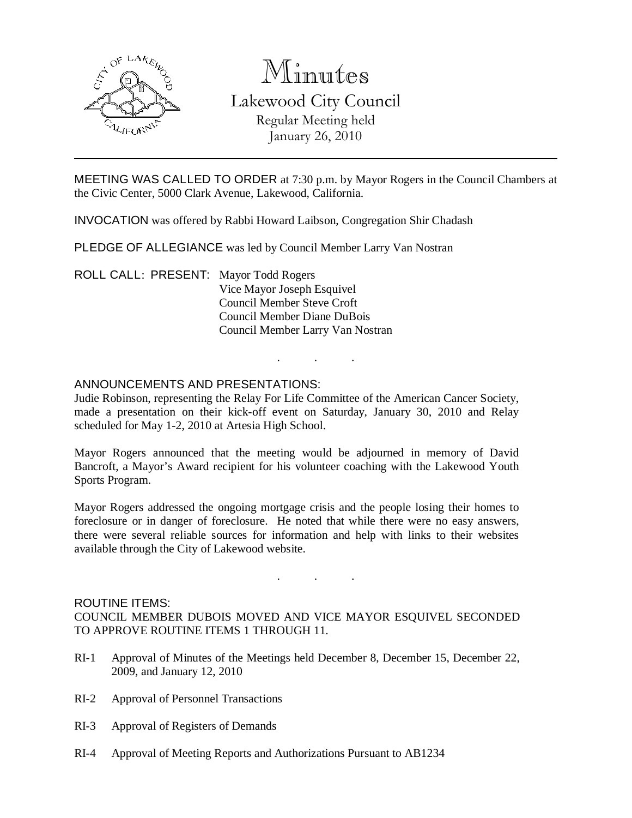

# Minutes

Lakewood City Council Regular Meeting held January 26, 2010

MEETING WAS CALLED TO ORDER at 7:30 p.m. by Mayor Rogers in the Council Chambers at the Civic Center, 5000 Clark Avenue, Lakewood, California.

INVOCATION was offered by Rabbi Howard Laibson, Congregation Shir Chadash

PLEDGE OF ALLEGIANCE was led by Council Member Larry Van Nostran

ROLL CALL: PRESENT: Mayor Todd Rogers Vice Mayor Joseph Esquivel Council Member Steve Croft Council Member Diane DuBois Council Member Larry Van Nostran

#### ANNOUNCEMENTS AND PRESENTATIONS:

Judie Robinson, representing the Relay For Life Committee of the American Cancer Society, made a presentation on their kick-off event on Saturday, January 30, 2010 and Relay scheduled for May 1-2, 2010 at Artesia High School.

. . .

Mayor Rogers announced that the meeting would be adjourned in memory of David Bancroft, a Mayor's Award recipient for his volunteer coaching with the Lakewood Youth Sports Program.

Mayor Rogers addressed the ongoing mortgage crisis and the people losing their homes to foreclosure or in danger of foreclosure. He noted that while there were no easy answers, there were several reliable sources for information and help with links to their websites available through the City of Lakewood website.

## ROUTINE ITEMS:

COUNCIL MEMBER DUBOIS MOVED AND VICE MAYOR ESQUIVEL SECONDED TO APPROVE ROUTINE ITEMS 1 THROUGH 11.

. . .

- RI-1 Approval of Minutes of the Meetings held December 8, December 15, December 22, 2009, and January 12, 2010
- RI-2 Approval of Personnel Transactions
- RI-3 Approval of Registers of Demands
- RI-4 Approval of Meeting Reports and Authorizations Pursuant to AB1234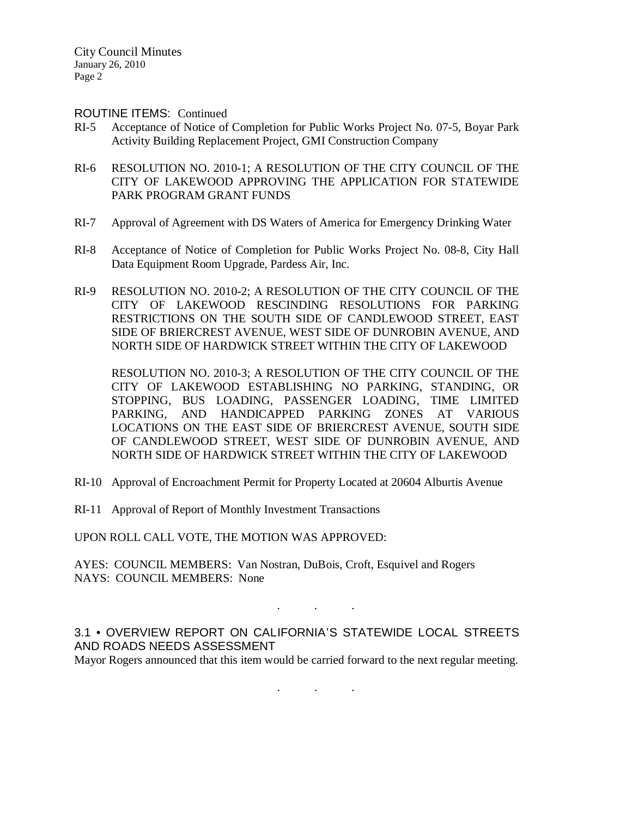City Council Minutes January 26, 2010 Page 2

#### ROUTINE ITEMS: Continued

- RI-5 Acceptance of Notice of Completion for Public Works Project No. 07-5, Boyar Park Activity Building Replacement Project, GMI Construction Company
- RI-6 RESOLUTION NO. 2010-1; A RESOLUTION OF THE CITY COUNCIL OF THE CITY OF LAKEWOOD APPROVING THE APPLICATION FOR STATEWIDE PARK PROGRAM GRANT FUNDS
- RI-7 Approval of Agreement with DS Waters of America for Emergency Drinking Water
- RI-8 Acceptance of Notice of Completion for Public Works Project No. 08-8, City Hall Data Equipment Room Upgrade, Pardess Air, Inc.
- RI-9 RESOLUTION NO. 2010-2; A RESOLUTION OF THE CITY COUNCIL OF THE CITY OF LAKEWOOD RESCINDING RESOLUTIONS FOR PARKING RESTRICTIONS ON THE SOUTH SIDE OF CANDLEWOOD STREET, EAST SIDE OF BRIERCREST AVENUE, WEST SIDE OF DUNROBIN AVENUE, AND NORTH SIDE OF HARDWICK STREET WITHIN THE CITY OF LAKEWOOD

RESOLUTION NO. 2010-3; A RESOLUTION OF THE CITY COUNCIL OF THE CITY OF LAKEWOOD ESTABLISHING NO PARKING, STANDING, OR STOPPING, BUS LOADING, PASSENGER LOADING, TIME LIMITED PARKING, AND HANDICAPPED PARKING ZONES AT VARIOUS LOCATIONS ON THE EAST SIDE OF BRIERCREST AVENUE, SOUTH SIDE OF CANDLEWOOD STREET, WEST SIDE OF DUNROBIN AVENUE, AND NORTH SIDE OF HARDWICK STREET WITHIN THE CITY OF LAKEWOOD

- RI-10 Approval of Encroachment Permit for Property Located at 20604 Alburtis Avenue
- RI-11 Approval of Report of Monthly Investment Transactions

UPON ROLL CALL VOTE, THE MOTION WAS APPROVED:

AYES: COUNCIL MEMBERS: Van Nostran, DuBois, Croft, Esquivel and Rogers NAYS: COUNCIL MEMBERS: None

3.1 • OVERVIEW REPORT ON CALIFORNIA'S STATEWIDE LOCAL STREETS AND ROADS NEEDS ASSESSMENT

. . .

Mayor Rogers announced that this item would be carried forward to the next regular meeting.

. . .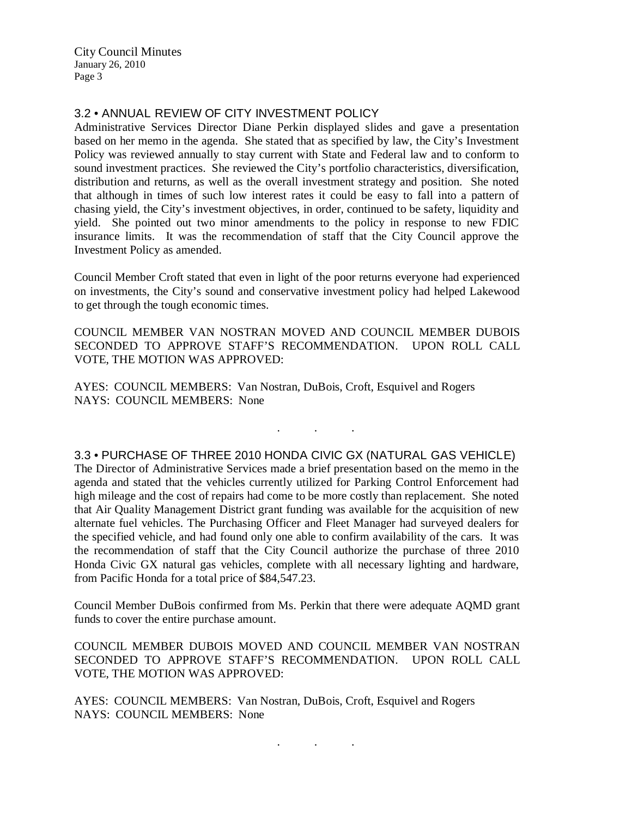City Council Minutes January 26, 2010 Page 3

#### 3.2 • ANNUAL REVIEW OF CITY INVESTMENT POLICY

Administrative Services Director Diane Perkin displayed slides and gave a presentation based on her memo in the agenda. She stated that as specified by law, the City's Investment Policy was reviewed annually to stay current with State and Federal law and to conform to sound investment practices. She reviewed the City's portfolio characteristics, diversification, distribution and returns, as well as the overall investment strategy and position. She noted that although in times of such low interest rates it could be easy to fall into a pattern of chasing yield, the City's investment objectives, in order, continued to be safety, liquidity and yield. She pointed out two minor amendments to the policy in response to new FDIC insurance limits. It was the recommendation of staff that the City Council approve the Investment Policy as amended.

Council Member Croft stated that even in light of the poor returns everyone had experienced on investments, the City's sound and conservative investment policy had helped Lakewood to get through the tough economic times.

COUNCIL MEMBER VAN NOSTRAN MOVED AND COUNCIL MEMBER DUBOIS SECONDED TO APPROVE STAFF'S RECOMMENDATION. UPON ROLL CALL VOTE, THE MOTION WAS APPROVED:

AYES: COUNCIL MEMBERS: Van Nostran, DuBois, Croft, Esquivel and Rogers NAYS: COUNCIL MEMBERS: None

#### 3.3 • PURCHASE OF THREE 2010 HONDA CIVIC GX (NATURAL GAS VEHICLE)

. . .

The Director of Administrative Services made a brief presentation based on the memo in the agenda and stated that the vehicles currently utilized for Parking Control Enforcement had high mileage and the cost of repairs had come to be more costly than replacement. She noted that Air Quality Management District grant funding was available for the acquisition of new alternate fuel vehicles. The Purchasing Officer and Fleet Manager had surveyed dealers for the specified vehicle, and had found only one able to confirm availability of the cars. It was the recommendation of staff that the City Council authorize the purchase of three 2010 Honda Civic GX natural gas vehicles, complete with all necessary lighting and hardware, from Pacific Honda for a total price of \$84,547.23.

Council Member DuBois confirmed from Ms. Perkin that there were adequate AQMD grant funds to cover the entire purchase amount.

COUNCIL MEMBER DUBOIS MOVED AND COUNCIL MEMBER VAN NOSTRAN SECONDED TO APPROVE STAFF'S RECOMMENDATION. UPON ROLL CALL VOTE, THE MOTION WAS APPROVED:

AYES: COUNCIL MEMBERS: Van Nostran, DuBois, Croft, Esquivel and Rogers NAYS: COUNCIL MEMBERS: None

. . .